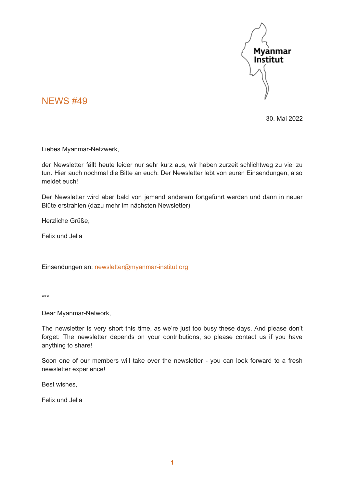

### NEWS #49

30. Mai 2022

Liebes Myanmar-Netzwerk,

der Newsletter fällt heute leider nur sehr kurz aus, wir haben zurzeit schlichtweg zu viel zu tun. Hier auch nochmal die Bitte an euch: Der Newsletter lebt von euren Einsendungen, also meldet euch!

Der Newsletter wird aber bald von jemand anderem fortgeführt werden und dann in neuer Blüte erstrahlen (dazu mehr im nächsten Newsletter).

Herzliche Grüße,

Felix und Jella

Einsendungen an: [newsletter@myanmar-institut.org](mailto:newsletter@myanmar-institut.org)

\*\*\*

Dear Myanmar-Network,

The newsletter is very short this time, as we're just too busy these days. And please don't forget: The newsletter depends on your contributions, so please contact us if you have anything to share!

Soon one of our members will take over the newsletter - you can look forward to a fresh newsletter experience!

Best wishes,

Felix und Jella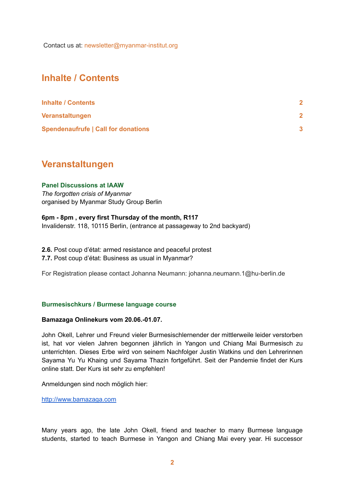Contact us at: [newsletter@myanmar-institut.org](mailto:newsletter@myanmar-institut.org)

## <span id="page-1-0"></span>**Inhalte / Contents**

| <b>Inhalte / Contents</b>                  |  |
|--------------------------------------------|--|
| Veranstaltungen                            |  |
| <b>Spendenaufrufe   Call for donations</b> |  |

### <span id="page-1-1"></span>**Veranstaltungen**

#### **Panel Discussions at IAAW**

*The forgotten crisis of Myanmar* organised by Myanmar Study Group Berlin

#### **6pm - 8pm , every first Thursday of the month, R117**

Invalidenstr. 118, 10115 Berlin, (entrance at passageway to 2nd backyard)

**2.6.** Post coup d'état: armed resistance and peaceful protest

**7.7.** Post coup d'état: Business as usual in Myanmar?

For Registration please contact Johanna Neumann: johanna.neumann.1@hu-berlin.de

#### **Burmesischkurs / Burmese language course**

#### **Bamazaga Onlinekurs vom 20.06.-01.07.**

John Okell, Lehrer und Freund vieler Burmesischlernender der mittlerweile leider verstorben ist, hat vor vielen Jahren begonnen jährlich in Yangon und Chiang Mai Burmesisch zu unterrichten. Dieses Erbe wird von seinem Nachfolger Justin Watkins und den Lehrerinnen Sayama Yu Yu Khaing und Sayama Thazin fortgeführt. Seit der Pandemie findet der Kurs online statt. Der Kurs ist sehr zu empfehlen!

Anmeldungen sind noch möglich hier:

<http://www.bamazaga.com>

Many years ago, the late John Okell, friend and teacher to many Burmese language students, started to teach Burmese in Yangon and Chiang Mai every year. Hi successor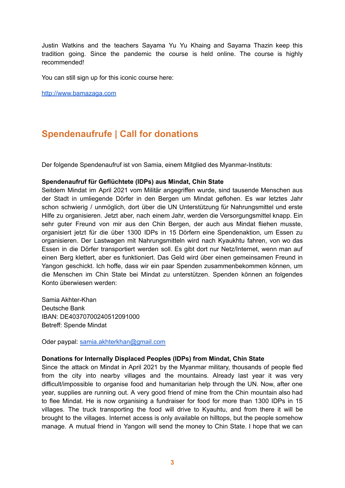Justin Watkins and the teachers Sayama Yu Yu Khaing and Sayama Thazin keep this tradition going. Since the pandemic the course is held online. The course is highly recommended!

You can still sign up for this iconic course here:

<http://www.bamazaga.com>

# <span id="page-2-0"></span>**Spendenaufrufe | Call for donations**

Der folgende Spendenaufruf ist von Samia, einem Mitglied des Myanmar-Instituts:

#### **Spendenaufruf für Geflüchtete (IDPs) aus Mindat, Chin State**

Seitdem Mindat im April 2021 vom Militär angegriffen wurde, sind tausende Menschen aus der Stadt in umliegende Dörfer in den Bergen um Mindat geflohen. Es war letztes Jahr schon schwierig / unmöglich, dort über die UN Unterstützung für Nahrungsmittel und erste Hilfe zu organisieren. Jetzt aber, nach einem Jahr, werden die Versorgungsmittel knapp. Ein sehr guter Freund von mir aus den Chin Bergen, der auch aus Mindat fliehen musste, organisiert jetzt für die über 1300 IDPs in 15 Dörfern eine Spendenaktion, um Essen zu organisieren. Der Lastwagen mit Nahrungsmitteln wird nach Kyaukhtu fahren, von wo das Essen in die Dörfer transportiert werden soll. Es gibt dort nur Netz/Internet, wenn man auf einen Berg klettert, aber es funktioniert. Das Geld wird über einen gemeinsamen Freund in Yangon geschickt. Ich hoffe, dass wir ein paar Spenden zusammenbekommen können, um die Menschen im Chin State bei Mindat zu unterstützen. Spenden können an folgendes Konto überwiesen werden:

Samia Akhter-Khan Deutsche Bank IBAN: DE40370700240512091000 Betreff: Spende Mindat

Oder paypal: [samia.akhterkhan@gmail.com](mailto:samia.akhterkhan@gmail.com)

#### **Donations for Internally Displaced Peoples (IDPs) from Mindat, Chin State**

Since the attack on Mindat in April 2021 by the Myanmar military, thousands of people fled from the city into nearby villages and the mountains. Already last year it was very difficult/impossible to organise food and humanitarian help through the UN. Now, after one year, supplies are running out. A very good friend of mine from the Chin mountain also had to flee Mindat. He is now organising a fundraiser for food for more than 1300 IDPs in 15 villages. The truck transporting the food will drive to Kyauhtu, and from there it will be brought to the villages. Internet access is only available on hilltops, but the people somehow manage. A mutual friend in Yangon will send the money to Chin State. I hope that we can